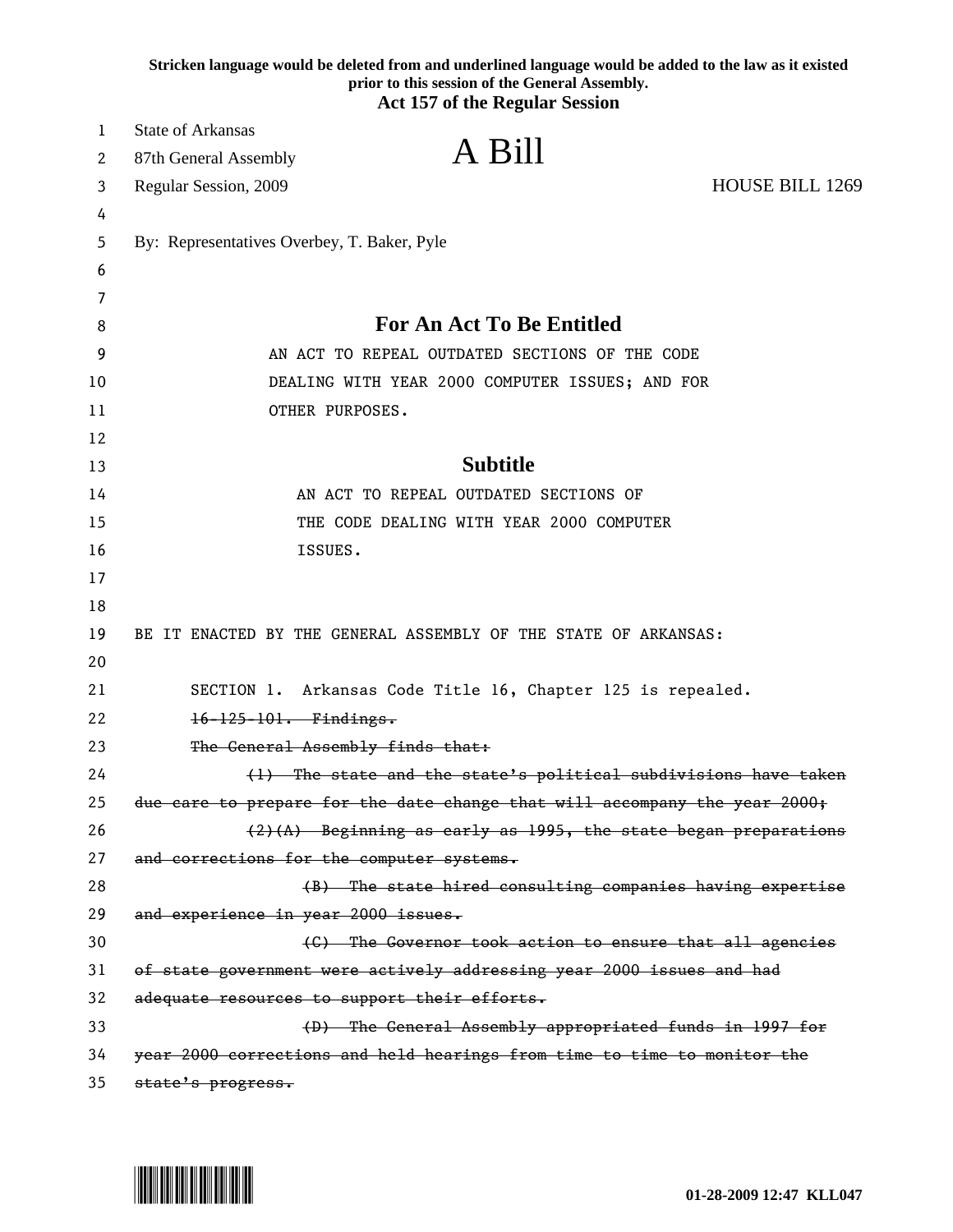|    | Stricken language would be deleted from and underlined language would be added to the law as it existed<br>prior to this session of the General Assembly.<br><b>Act 157 of the Regular Session</b> |
|----|----------------------------------------------------------------------------------------------------------------------------------------------------------------------------------------------------|
| 1  | <b>State of Arkansas</b>                                                                                                                                                                           |
| 2  | A Bill<br>87th General Assembly                                                                                                                                                                    |
| 3  | HOUSE BILL 1269<br>Regular Session, 2009                                                                                                                                                           |
| 4  |                                                                                                                                                                                                    |
| 5  | By: Representatives Overbey, T. Baker, Pyle                                                                                                                                                        |
| 6  |                                                                                                                                                                                                    |
| 7  |                                                                                                                                                                                                    |
| 8  | <b>For An Act To Be Entitled</b>                                                                                                                                                                   |
| 9  | AN ACT TO REPEAL OUTDATED SECTIONS OF THE CODE                                                                                                                                                     |
| 10 | DEALING WITH YEAR 2000 COMPUTER ISSUES; AND FOR                                                                                                                                                    |
| 11 | OTHER PURPOSES.                                                                                                                                                                                    |
| 12 |                                                                                                                                                                                                    |
| 13 | <b>Subtitle</b>                                                                                                                                                                                    |
| 14 | AN ACT TO REPEAL OUTDATED SECTIONS OF                                                                                                                                                              |
| 15 | THE CODE DEALING WITH YEAR 2000 COMPUTER                                                                                                                                                           |
| 16 | ISSUES.                                                                                                                                                                                            |
| 17 |                                                                                                                                                                                                    |
| 18 |                                                                                                                                                                                                    |
| 19 | BE IT ENACTED BY THE GENERAL ASSEMBLY OF THE STATE OF ARKANSAS:                                                                                                                                    |
| 20 |                                                                                                                                                                                                    |
| 21 | SECTION 1. Arkansas Code Title 16, Chapter 125 is repealed.                                                                                                                                        |
| 22 | $16 - 125 - 101$ . Findings.                                                                                                                                                                       |
| 23 | The General Assembly finds that:                                                                                                                                                                   |
| 24 | (1) The state and the state's political subdivisions have taken                                                                                                                                    |
| 25 | due care to prepare for the date change that will accompany the year 2000;                                                                                                                         |
| 26 | $(2)$ (A) Beginning as early as 1995, the state began preparations                                                                                                                                 |
| 27 | and corrections for the computer systems.                                                                                                                                                          |
| 28 | (B) The state hired consulting companies having expertise                                                                                                                                          |
| 29 | and experience in year 2000 issues.                                                                                                                                                                |
| 30 | (C) The Governor took action to ensure that all agencies                                                                                                                                           |
| 31 | of state government were actively addressing year 2000 issues and had                                                                                                                              |
| 32 | adequate resources to support their efforts.                                                                                                                                                       |
| 33 | (D) The General Assembly appropriated funds in 1997 for                                                                                                                                            |
| 34 | year 2000 corrections and held hearings from time to time to monitor the                                                                                                                           |
| 35 | state's progress.                                                                                                                                                                                  |

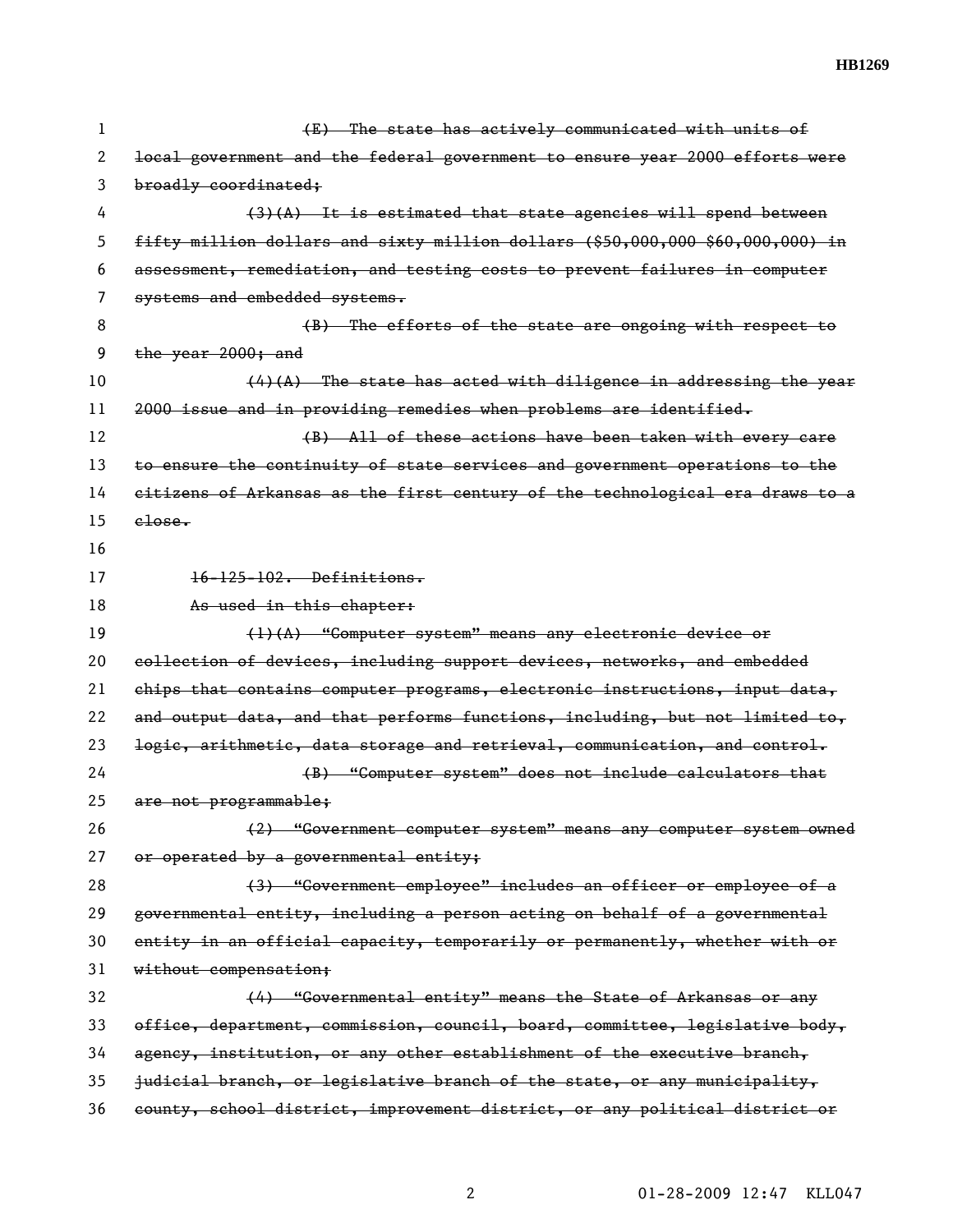| 1  | (E) The state has actively communicated with units of                          |
|----|--------------------------------------------------------------------------------|
| 2  | local government and the federal government to ensure year 2000 efforts were   |
| 3  | broadly coordinated;                                                           |
| 4  | $(3)(A)$ It is estimated that state agencies will spend between                |
| 5  | fifty million dollars and sixty million dollars (\$50,000,000 \$60,000,000) in |
| 6  | assessment, remediation, and testing costs to prevent failures in computer     |
| 7  | systems and embedded systems.                                                  |
| 8  | (B) The efforts of the state are ongoing with respect to                       |
| 9  | the year 2000; and                                                             |
| 10 | $(4)$ (A) The state has acted with diligence in addressing the year            |
| 11 | 2000 issue and in providing remedies when problems are identified.             |
| 12 | (B) All of these actions have been taken with every care                       |
| 13 | to ensure the continuity of state services and government operations to the    |
| 14 | eitizens of Arkansas as the first century of the technological era draws to a  |
| 15 | $e$ lose.                                                                      |
| 16 |                                                                                |
| 17 | $16 - 125 - 102$ . Definitions.                                                |
| 18 | As used in this chapter:                                                       |
| 19 | $(1)$ $(A)$ "Computer system" means any electronic device or                   |
| 20 | collection of devices, including support devices, networks, and embedded       |
| 21 | ehips that contains computer programs, electronic instructions, input data,    |
| 22 | and output data, and that performs functions, including, but not limited to,   |
| 23 | logic, arithmetic, data storage and retrieval, communication, and control.     |
| 24 | (B) "Computer system" does not include calculators that                        |
| 25 | are not programmable;                                                          |
| 26 | (2) "Government computer system" means any computer system owned               |
| 27 | or operated by a governmental entity;                                          |
| 28 |                                                                                |
|    | (3) "Government employee" includes an officer or employee of a                 |
| 29 | governmental entity, including a person acting on behalf of a governmental     |
| 30 | entity in an official capacity, temporarily or permanently, whether with or    |
| 31 | without compensation;                                                          |
| 32 | (4) "Governmental entity" means the State of Arkansas or any                   |
| 33 | office, department, commission, council, board, committee, legislative body,   |
| 34 | agency, institution, or any other establishment of the executive branch,       |
| 35 | judicial branch, or legislative branch of the state, or any municipality,      |